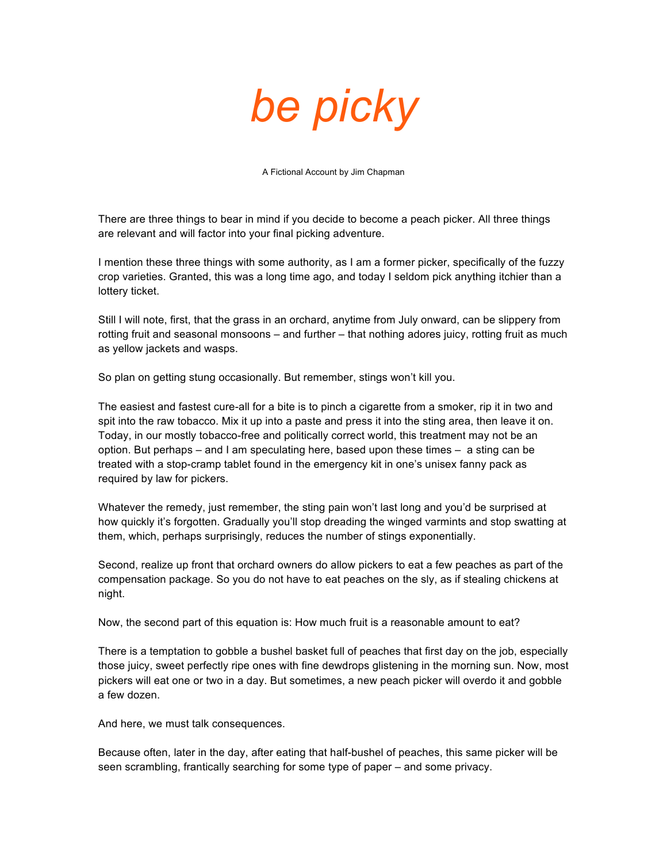## *be picky*

A Fictional Account by Jim Chapman

There are three things to bear in mind if you decide to become a peach picker. All three things are relevant and will factor into your final picking adventure.

I mention these three things with some authority, as I am a former picker, specifically of the fuzzy crop varieties. Granted, this was a long time ago, and today I seldom pick anything itchier than a lottery ticket.

Still I will note, first, that the grass in an orchard, anytime from July onward, can be slippery from rotting fruit and seasonal monsoons – and further – that nothing adores juicy, rotting fruit as much as yellow jackets and wasps.

So plan on getting stung occasionally. But remember, stings won't kill you.

The easiest and fastest cure-all for a bite is to pinch a cigarette from a smoker, rip it in two and spit into the raw tobacco. Mix it up into a paste and press it into the sting area, then leave it on. Today, in our mostly tobacco-free and politically correct world, this treatment may not be an option. But perhaps – and I am speculating here, based upon these times – a sting can be treated with a stop-cramp tablet found in the emergency kit in one's unisex fanny pack as required by law for pickers.

Whatever the remedy, just remember, the sting pain won't last long and you'd be surprised at how quickly it's forgotten. Gradually you'll stop dreading the winged varmints and stop swatting at them, which, perhaps surprisingly, reduces the number of stings exponentially.

Second, realize up front that orchard owners do allow pickers to eat a few peaches as part of the compensation package. So you do not have to eat peaches on the sly, as if stealing chickens at night.

Now, the second part of this equation is: How much fruit is a reasonable amount to eat?

There is a temptation to gobble a bushel basket full of peaches that first day on the job, especially those juicy, sweet perfectly ripe ones with fine dewdrops glistening in the morning sun. Now, most pickers will eat one or two in a day. But sometimes, a new peach picker will overdo it and gobble a few dozen.

And here, we must talk consequences.

Because often, later in the day, after eating that half-bushel of peaches, this same picker will be seen scrambling, frantically searching for some type of paper – and some privacy.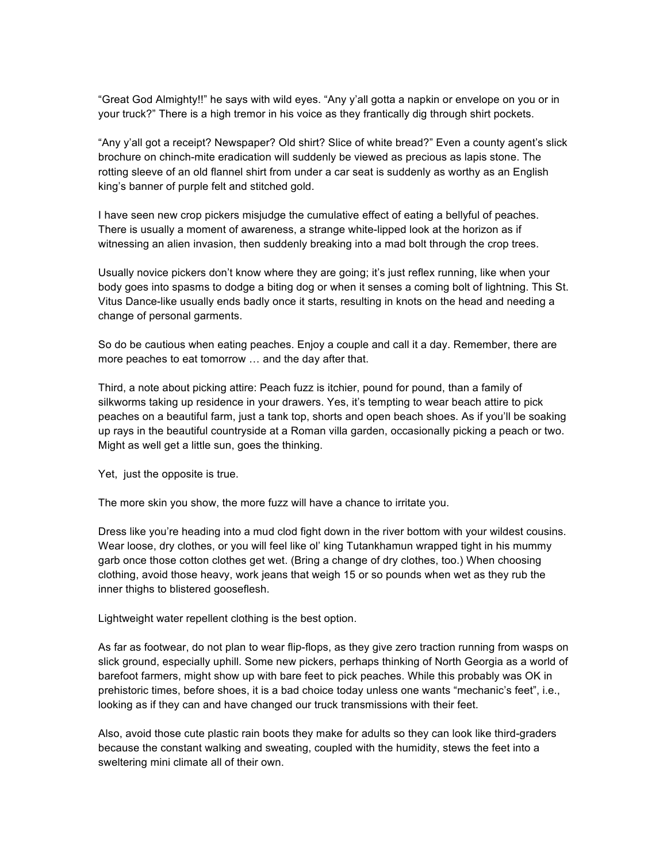"Great God Almighty!!" he says with wild eyes. "Any y'all gotta a napkin or envelope on you or in your truck?" There is a high tremor in his voice as they frantically dig through shirt pockets.

"Any y'all got a receipt? Newspaper? Old shirt? Slice of white bread?" Even a county agent's slick brochure on chinch-mite eradication will suddenly be viewed as precious as lapis stone. The rotting sleeve of an old flannel shirt from under a car seat is suddenly as worthy as an English king's banner of purple felt and stitched gold.

I have seen new crop pickers misjudge the cumulative effect of eating a bellyful of peaches. There is usually a moment of awareness, a strange white-lipped look at the horizon as if witnessing an alien invasion, then suddenly breaking into a mad bolt through the crop trees.

Usually novice pickers don't know where they are going; it's just reflex running, like when your body goes into spasms to dodge a biting dog or when it senses a coming bolt of lightning. This St. Vitus Dance-like usually ends badly once it starts, resulting in knots on the head and needing a change of personal garments.

So do be cautious when eating peaches. Enjoy a couple and call it a day. Remember, there are more peaches to eat tomorrow … and the day after that.

Third, a note about picking attire: Peach fuzz is itchier, pound for pound, than a family of silkworms taking up residence in your drawers. Yes, it's tempting to wear beach attire to pick peaches on a beautiful farm, just a tank top, shorts and open beach shoes. As if you'll be soaking up rays in the beautiful countryside at a Roman villa garden, occasionally picking a peach or two. Might as well get a little sun, goes the thinking.

Yet, just the opposite is true.

The more skin you show, the more fuzz will have a chance to irritate you.

Dress like you're heading into a mud clod fight down in the river bottom with your wildest cousins. Wear loose, dry clothes, or you will feel like ol' king Tutankhamun wrapped tight in his mummy garb once those cotton clothes get wet. (Bring a change of dry clothes, too.) When choosing clothing, avoid those heavy, work jeans that weigh 15 or so pounds when wet as they rub the inner thighs to blistered gooseflesh.

Lightweight water repellent clothing is the best option.

As far as footwear, do not plan to wear flip-flops, as they give zero traction running from wasps on slick ground, especially uphill. Some new pickers, perhaps thinking of North Georgia as a world of barefoot farmers, might show up with bare feet to pick peaches. While this probably was OK in prehistoric times, before shoes, it is a bad choice today unless one wants "mechanic's feet", i.e., looking as if they can and have changed our truck transmissions with their feet.

Also, avoid those cute plastic rain boots they make for adults so they can look like third-graders because the constant walking and sweating, coupled with the humidity, stews the feet into a sweltering mini climate all of their own.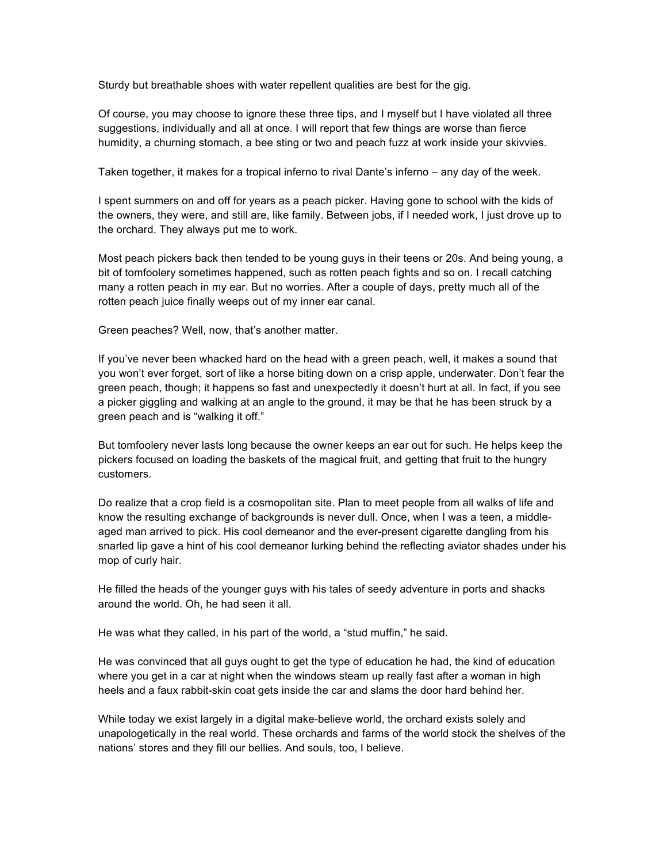Sturdy but breathable shoes with water repellent qualities are best for the gig.

Of course, you may choose to ignore these three tips, and I myself but I have violated all three suggestions, individually and all at once. I will report that few things are worse than fierce humidity, a churning stomach, a bee sting or two and peach fuzz at work inside your skivvies.

Taken together, it makes for a tropical inferno to rival Dante's inferno – any day of the week.

I spent summers on and off for years as a peach picker. Having gone to school with the kids of the owners, they were, and still are, like family. Between jobs, if I needed work, I just drove up to the orchard. They always put me to work.

Most peach pickers back then tended to be young guys in their teens or 20s. And being young, a bit of tomfoolery sometimes happened, such as rotten peach fights and so on. I recall catching many a rotten peach in my ear. But no worries. After a couple of days, pretty much all of the rotten peach juice finally weeps out of my inner ear canal.

Green peaches? Well, now, that's another matter.

If you've never been whacked hard on the head with a green peach, well, it makes a sound that you won't ever forget, sort of like a horse biting down on a crisp apple, underwater. Don't fear the green peach, though; it happens so fast and unexpectedly it doesn't hurt at all. In fact, if you see a picker giggling and walking at an angle to the ground, it may be that he has been struck by a green peach and is "walking it off."

But tomfoolery never lasts long because the owner keeps an ear out for such. He helps keep the pickers focused on loading the baskets of the magical fruit, and getting that fruit to the hungry customers.

Do realize that a crop field is a cosmopolitan site. Plan to meet people from all walks of life and know the resulting exchange of backgrounds is never dull. Once, when I was a teen, a middleaged man arrived to pick. His cool demeanor and the ever-present cigarette dangling from his snarled lip gave a hint of his cool demeanor lurking behind the reflecting aviator shades under his mop of curly hair.

He filled the heads of the younger guys with his tales of seedy adventure in ports and shacks around the world. Oh, he had seen it all.

He was what they called, in his part of the world, a "stud muffin," he said.

He was convinced that all guys ought to get the type of education he had, the kind of education where you get in a car at night when the windows steam up really fast after a woman in high heels and a faux rabbit-skin coat gets inside the car and slams the door hard behind her.

While today we exist largely in a digital make-believe world, the orchard exists solely and unapologetically in the real world. These orchards and farms of the world stock the shelves of the nations' stores and they fill our bellies. And souls, too, I believe.